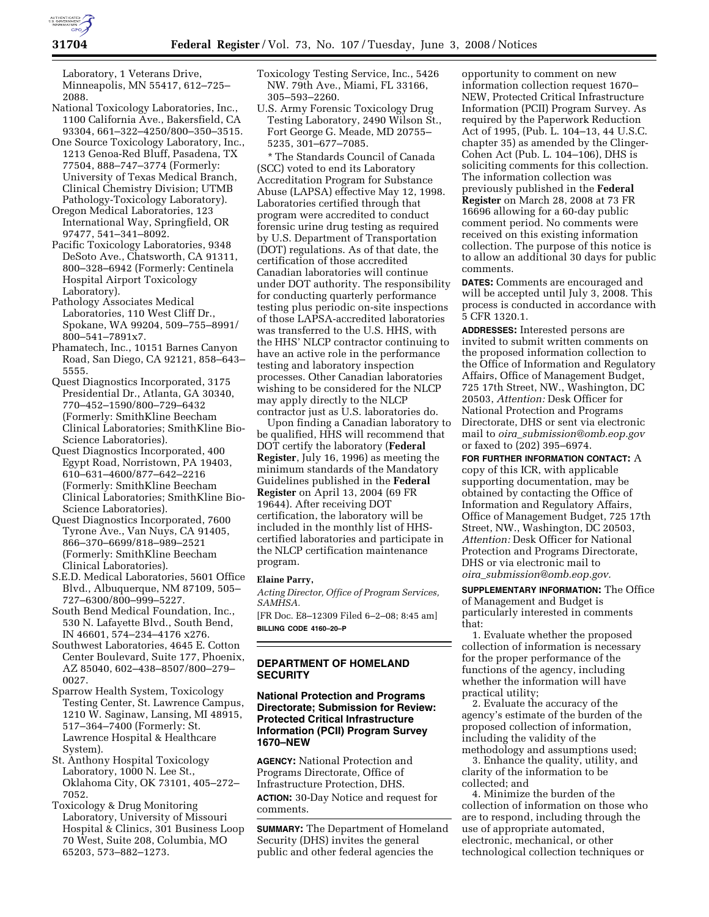

Laboratory, 1 Veterans Drive, Minneapolis, MN 55417, 612–725– 2088.

- National Toxicology Laboratories, Inc., 1100 California Ave., Bakersfield, CA 93304, 661–322–4250/800–350–3515.
- One Source Toxicology Laboratory, Inc., 1213 Genoa-Red Bluff, Pasadena, TX 77504, 888–747–3774 (Formerly: University of Texas Medical Branch, Clinical Chemistry Division; UTMB Pathology-Toxicology Laboratory).
- Oregon Medical Laboratories, 123 International Way, Springfield, OR 97477, 541–341–8092.
- Pacific Toxicology Laboratories, 9348 DeSoto Ave., Chatsworth, CA 91311, 800–328–6942 (Formerly: Centinela Hospital Airport Toxicology Laboratory).
- Pathology Associates Medical Laboratories, 110 West Cliff Dr., Spokane, WA 99204, 509–755–8991/ 800–541–7891x7.
- Phamatech, Inc., 10151 Barnes Canyon Road, San Diego, CA 92121, 858–643– 5555.
- Quest Diagnostics Incorporated, 3175 Presidential Dr., Atlanta, GA 30340, 770–452–1590/800–729–6432 (Formerly: SmithKline Beecham Clinical Laboratories; SmithKline Bio-Science Laboratories).
- Quest Diagnostics Incorporated, 400 Egypt Road, Norristown, PA 19403, 610–631–4600/877–642–2216 (Formerly: SmithKline Beecham Clinical Laboratories; SmithKline Bio-Science Laboratories).
- Quest Diagnostics Incorporated, 7600 Tyrone Ave., Van Nuys, CA 91405, 866–370–6699/818–989–2521 (Formerly: SmithKline Beecham Clinical Laboratories).
- S.E.D. Medical Laboratories, 5601 Office Blvd., Albuquerque, NM 87109, 505– 727–6300/800–999–5227.
- South Bend Medical Foundation, Inc., 530 N. Lafayette Blvd., South Bend, IN 46601, 574–234–4176 x276.
- Southwest Laboratories, 4645 E. Cotton Center Boulevard, Suite 177, Phoenix, AZ 85040, 602–438–8507/800–279– 0027.
- Sparrow Health System, Toxicology Testing Center, St. Lawrence Campus, 1210 W. Saginaw, Lansing, MI 48915, 517–364–7400 (Formerly: St. Lawrence Hospital & Healthcare System).
- St. Anthony Hospital Toxicology Laboratory, 1000 N. Lee St., Oklahoma City, OK 73101, 405–272– 7052.
- Toxicology & Drug Monitoring Laboratory, University of Missouri Hospital & Clinics, 301 Business Loop 70 West, Suite 208, Columbia, MO 65203, 573–882–1273.
- Toxicology Testing Service, Inc., 5426 NW. 79th Ave., Miami, FL 33166, 305–593–2260.
- U.S. Army Forensic Toxicology Drug Testing Laboratory, 2490 Wilson St., Fort George G. Meade, MD 20755– 5235, 301–677–7085.

\* The Standards Council of Canada (SCC) voted to end its Laboratory Accreditation Program for Substance Abuse (LAPSA) effective May 12, 1998. Laboratories certified through that program were accredited to conduct forensic urine drug testing as required by U.S. Department of Transportation (DOT) regulations. As of that date, the certification of those accredited Canadian laboratories will continue under DOT authority. The responsibility for conducting quarterly performance testing plus periodic on-site inspections of those LAPSA-accredited laboratories was transferred to the U.S. HHS, with the HHS' NLCP contractor continuing to have an active role in the performance testing and laboratory inspection processes. Other Canadian laboratories wishing to be considered for the NLCP may apply directly to the NLCP contractor just as U.S. laboratories do.

Upon finding a Canadian laboratory to be qualified, HHS will recommend that DOT certify the laboratory (**Federal Register**, July 16, 1996) as meeting the minimum standards of the Mandatory Guidelines published in the **Federal Register** on April 13, 2004 (69 FR 19644). After receiving DOT certification, the laboratory will be included in the monthly list of HHScertified laboratories and participate in the NLCP certification maintenance program.

### **Elaine Parry,**

*Acting Director, Office of Program Services, SAMHSA.* 

[FR Doc. E8–12309 Filed 6–2–08; 8:45 am] **BILLING CODE 4160–20–P** 

# **DEPARTMENT OF HOMELAND SECURITY**

# **National Protection and Programs Directorate; Submission for Review: Protected Critical Infrastructure Information (PCII) Program Survey 1670–NEW**

**AGENCY:** National Protection and Programs Directorate, Office of Infrastructure Protection, DHS.

**ACTION:** 30-Day Notice and request for comments.

**SUMMARY:** The Department of Homeland Security (DHS) invites the general public and other federal agencies the

opportunity to comment on new information collection request 1670– NEW, Protected Critical Infrastructure Information (PCII) Program Survey. As required by the Paperwork Reduction Act of 1995, (Pub. L. 104–13, 44 U.S.C. chapter 35) as amended by the Clinger-Cohen Act (Pub. L. 104–106), DHS is soliciting comments for this collection. The information collection was previously published in the **Federal Register** on March 28, 2008 at 73 FR 16696 allowing for a 60-day public comment period. No comments were received on this existing information collection. The purpose of this notice is to allow an additional 30 days for public comments.

**DATES:** Comments are encouraged and will be accepted until July 3, 2008. This process is conducted in accordance with 5 CFR 1320.1.

**ADDRESSES:** Interested persons are invited to submit written comments on the proposed information collection to the Office of Information and Regulatory Affairs, Office of Management Budget, 725 17th Street, NW., Washington, DC 20503, *Attention:* Desk Officer for National Protection and Programs Directorate, DHS or sent via electronic mail to *oira*\_*submission@omb.eop.gov*  or faxed to (202) 395–6974.

**FOR FURTHER INFORMATION CONTACT:** A copy of this ICR, with applicable supporting documentation, may be obtained by contacting the Office of Information and Regulatory Affairs, Office of Management Budget, 725 17th Street, NW., Washington, DC 20503, *Attention:* Desk Officer for National Protection and Programs Directorate, DHS or via electronic mail to *oira*\_*submission@omb.eop.gov.* 

**SUPPLEMENTARY INFORMATION:** The Office of Management and Budget is particularly interested in comments that:

1. Evaluate whether the proposed collection of information is necessary for the proper performance of the functions of the agency, including whether the information will have practical utility;

2. Evaluate the accuracy of the agency's estimate of the burden of the proposed collection of information, including the validity of the methodology and assumptions used;

3. Enhance the quality, utility, and clarity of the information to be collected; and

4. Minimize the burden of the collection of information on those who are to respond, including through the use of appropriate automated, electronic, mechanical, or other technological collection techniques or